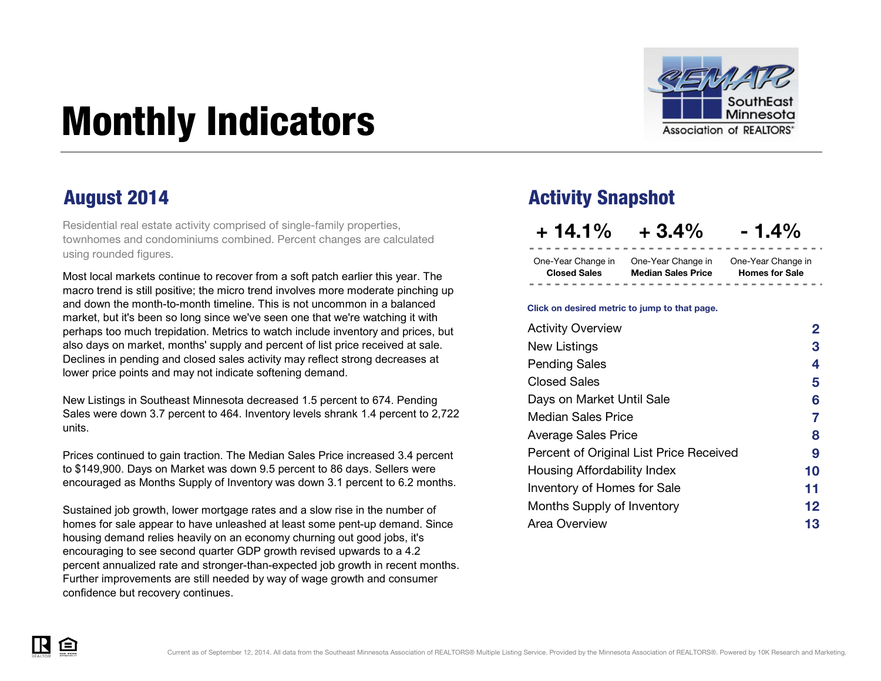

# <span id="page-0-0"></span>Monthly Indicators

Residential real estate activity comprised of single-family properties, townhomes and condominiums combined. Percent changes are calculated using rounded figures.

Most local markets continue to recover from a soft patch earlier this year. The macro trend is still positive; the micro trend involves more moderate pinching up and down the month-to-month timeline. This is not uncommon in a balanced market, but it's been so long since we've seen one that we're watching it with perhaps too much trepidation. Metrics to watch include inventory and prices, but also days on market, months' supply and percent of list price received at sale. Declines in pending and closed sales activity may reflect strong decreases at lower price points and may not indicate softening demand.

New Listings in Southeast Minnesota decreased 1.5 percent to 674. Pending Sales were down 3.7 percent to 464. Inventory levels shrank 1.4 percent to 2,722 units.

Prices continued to gain traction. The Median Sales Price increased 3.4 percent to \$149,900. Days on Market was down 9.5 percent to 86 days. Sellers were encouraged as Months Supply of Inventory was down 3.1 percent to 6.2 months.

Sustained job growth, lower mortgage rates and a slow rise in the number of homes for sale appear to have unleashed at least some pent-up demand. Since housing demand relies heavily on an economy churning out good jobs, it's encouraging to see second quarter GDP growth revised upwards to a 4.2 percent annualized rate and stronger-than-expected job growth in recent months. Further improvements are still needed by way of wage growth and consumer confidence but recovery continues.

### August 2014 **August 2014** Activity Snapshot

**+ 14.1% + 3.4% - 1.4%**

One-Year Change in One-Year Change in One-Year Change in **Closed Sales Median Sales Price**

**Homes for Sale**

#### **Click on desired metric to jump to that page.**

| <b>Activity Overview</b>                | 2  |
|-----------------------------------------|----|
| New Listings                            | 3  |
| <b>Pending Sales</b>                    | 4  |
| <b>Closed Sales</b>                     | 5  |
| Days on Market Until Sale               | 6  |
| <b>Median Sales Price</b>               | 7  |
| <b>Average Sales Price</b>              | 8  |
| Percent of Original List Price Received | 9  |
| Housing Affordability Index             | 10 |
| Inventory of Homes for Sale             | 11 |
| Months Supply of Inventory              | 12 |
| Area Overview                           | 13 |

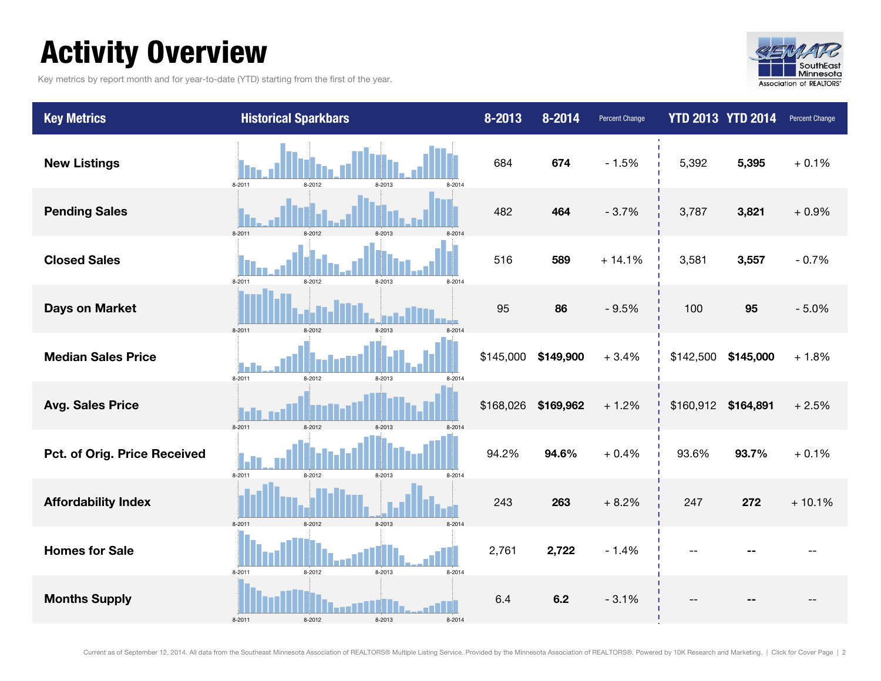### <span id="page-1-0"></span>Activity Overview

Key metrics by report month and for year-to-date (YTD) starting from the first of the year.



| <b>Key Metrics</b>           | <b>Historical Sparkbars</b>              | 8-2013    | 8-2014    | Percent Change |                     | <b>YTD 2013 YTD 2014</b> | Percent Change |
|------------------------------|------------------------------------------|-----------|-----------|----------------|---------------------|--------------------------|----------------|
| <b>New Listings</b>          | 8-2011<br>8-2012<br>8-2014<br>8-2013     | 684       | 674       | $-1.5%$        | 5,392               | 5,395                    | $+0.1%$        |
| <b>Pending Sales</b>         | $8-2011$<br>8-2012                       | 482       | 464       | $-3.7%$        | 3,787               | 3,821                    | $+0.9%$        |
| <b>Closed Sales</b>          | 8-2011<br>8-2013<br>8-2014<br>8-2012     | 516       | 589       | $+14.1%$       | 3,581               | 3,557                    | $-0.7%$        |
| <b>Days on Market</b>        | $8-2011$<br>8-2012                       | 95        | 86        | $-9.5%$        | 100                 | 95                       | $-5.0%$        |
| <b>Median Sales Price</b>    | $8 - 2011$<br>8-2013<br>8-2012<br>8-2014 | \$145,000 | \$149,900 | $+3.4%$        | \$142,500           | \$145,000                | $+1.8%$        |
| <b>Avg. Sales Price</b>      | 8-2011<br>8-2012                         | \$168,026 | \$169,962 | $+1.2%$        | \$160,912 \$164,891 |                          | $+2.5%$        |
| Pct. of Orig. Price Received | 8-2011<br>8-2012<br>8-2013<br>8-2014     | 94.2%     | 94.6%     | $+0.4%$        | 93.6%               | 93.7%                    | $+0.1%$        |
| <b>Affordability Index</b>   | 8-2012<br>8-2013<br>8-2011<br>8-2014     | 243       | 263       | $+8.2%$        | 247                 | 272                      | $+10.1%$       |
| <b>Homes for Sale</b>        | 8-2011<br>8-2012<br>8-2013<br>8-2014     | 2,761     | 2,722     | $-1.4%$        |                     |                          |                |
| <b>Months Supply</b>         | 8-2011<br>8-2012<br>8-2013<br>8-2014     | 6.4       | 6.2       | $-3.1%$        |                     |                          |                |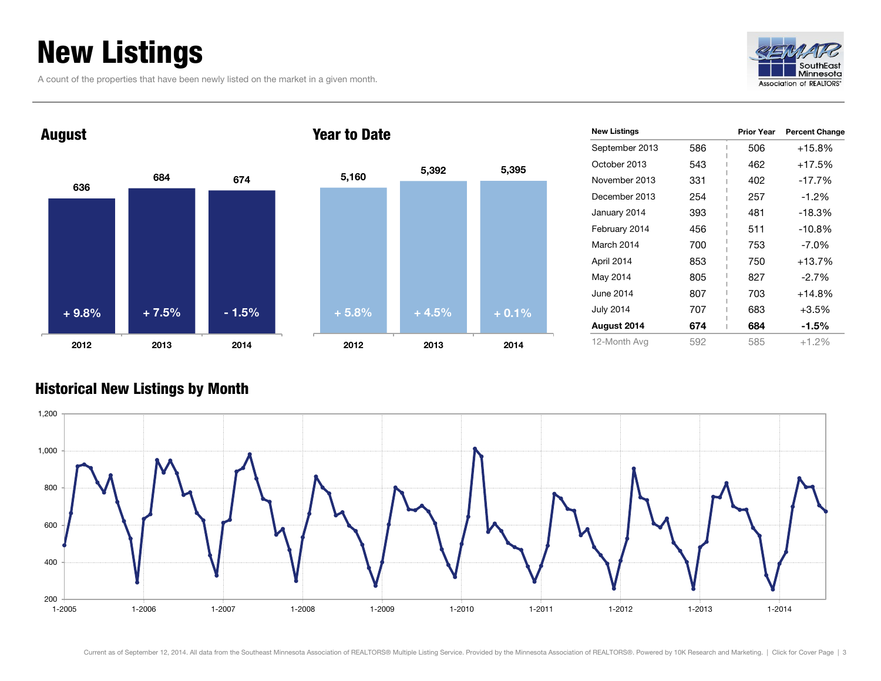### <span id="page-2-0"></span>New Listings

A count of the properties that have been newly listed on the market in a given month.





| $+5.8%$ | $+4.5%$ | $+0.1%$ |
|---------|---------|---------|
|         |         |         |
|         |         |         |
|         |         |         |
| 5,160   | 5,392   | 5,395   |

| <b>New Listings</b> |     | <b>Prior Year</b> | <b>Percent Change</b> |
|---------------------|-----|-------------------|-----------------------|
| September 2013      | 586 | 506               | $+15.8%$              |
| October 2013        | 543 | 462               | $+17.5%$              |
| November 2013       | 331 | 402               | $-17.7%$              |
| December 2013       | 254 | 257               | $-1.2%$               |
| January 2014        | 393 | 481               | $-18.3%$              |
| February 2014       | 456 | 511               | $-10.8%$              |
| March 2014          | 700 | 753               | $-7.0\%$              |
| April 2014          | 853 | 750               | $+13.7%$              |
| May 2014            | 805 | 827               | $-2.7%$               |
| June 2014           | 807 | 703               | $+14.8%$              |
| <b>July 2014</b>    | 707 | 683               | $+3.5%$               |
| August 2014         | 674 | 684               | $-1.5%$               |
| 12-Month Avg        | 592 | 585               | $+1.2%$               |

#### Historical New Listings by Month

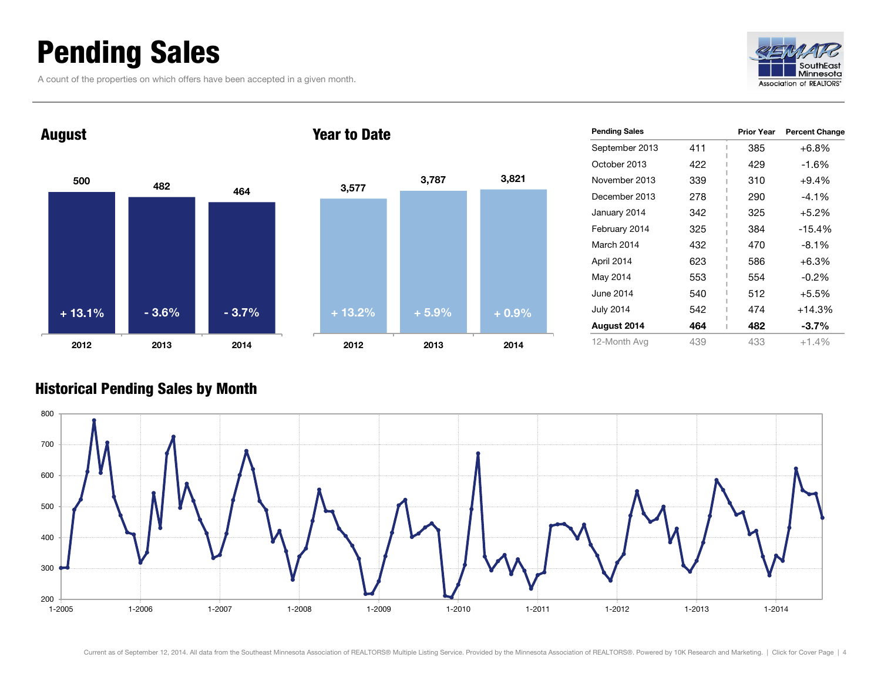### <span id="page-3-0"></span>Pending Sales

A count of the properties on which offers have been accepted in a given month.







| <b>Pending Sales</b> |     | <b>Prior Year</b> | <b>Percent Change</b> |
|----------------------|-----|-------------------|-----------------------|
| September 2013       | 411 | 385               | $+6.8%$               |
| October 2013         | 422 | 429               | $-1.6%$               |
| November 2013        | 339 | 310               | $+9.4%$               |
| December 2013        | 278 | 290               | $-4.1%$               |
| January 2014         | 342 | 325               | $+5.2%$               |
| February 2014        | 325 | 384               | -15.4%                |
| March 2014           | 432 | 470               | $-8.1%$               |
| April 2014           | 623 | 586               | $+6.3%$               |
| May 2014             | 553 | 554               | $-0.2%$               |
| June 2014            | 540 | 512               | $+5.5%$               |
| <b>July 2014</b>     | 542 | 474               | $+14.3%$              |
| August 2014          | 464 | 482               | $-3.7\%$              |
| 12-Month Avg         | 439 | 433               | $+1.4%$               |

#### Historical Pending Sales by Month

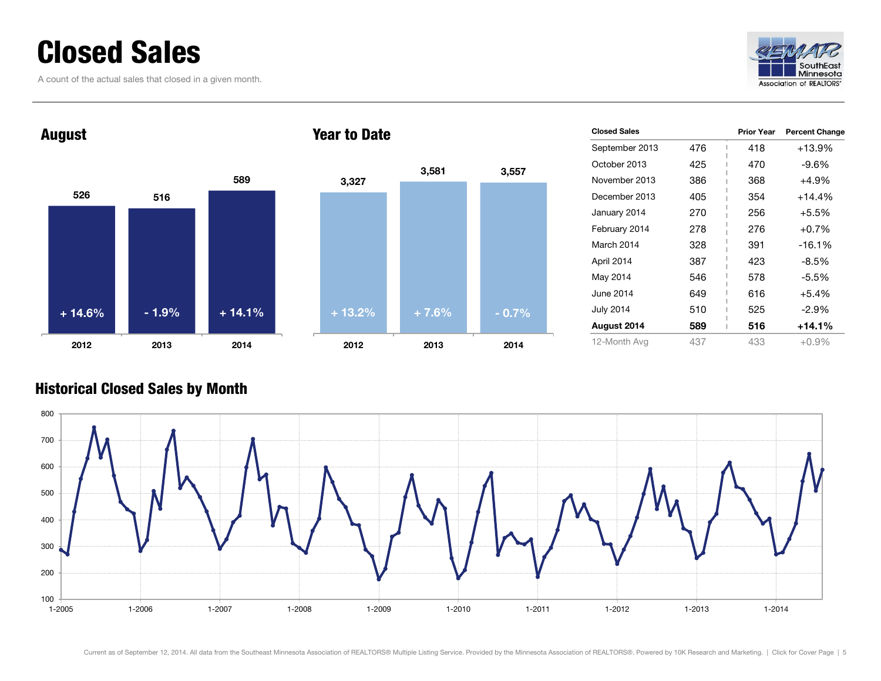### <span id="page-4-0"></span>Closed Sales

A count of the actual sales that closed in a given month.





| <b>Closed Sales</b> |     | <b>Prior Year</b> | <b>Percent Change</b> |
|---------------------|-----|-------------------|-----------------------|
| September 2013      | 476 | 418               | +13.9%                |
| October 2013        | 425 | 470               | -9.6%                 |
| November 2013       | 386 | 368               | +4.9%                 |
| December 2013       | 405 | 354               | $+14.4%$              |
| January 2014        | 270 | 256               | $+5.5%$               |
| February 2014       | 278 | 276               | $+0.7%$               |
| March 2014          | 328 | 391               | $-16.1%$              |
| April 2014          | 387 | 423               | -8.5%                 |
| May 2014            | 546 | 578               | -5.5%                 |
| June 2014           | 649 | 616               | $+5.4%$               |
| <b>July 2014</b>    | 510 | 525               | -2.9%                 |
| August 2014         | 589 | 516               | $+14.1%$              |
| 12-Month Avg        | 437 | 433               | $+0.9\%$              |

#### Historical Closed Sales by Month

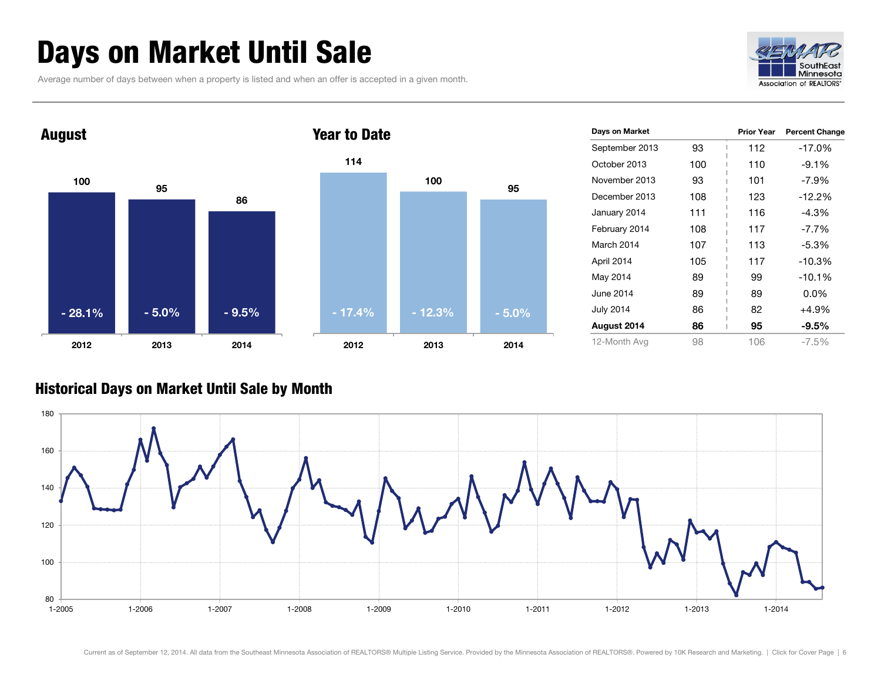### <span id="page-5-0"></span>Days on Market Until Sale

Average number of days between when a property is listed and when an offer is accepted in a given month.





| Days on Market   |     | <b>Prior Year</b> | <b>Percent Change</b> |
|------------------|-----|-------------------|-----------------------|
| September 2013   | 93  | 112               | -17.0%                |
| October 2013     | 100 | 110               | $-9.1%$               |
| November 2013    | 93  | 101               | $-7.9\%$              |
| December 2013    | 108 | 123               | $-12.2\%$             |
| January 2014     | 111 | 116               | $-4.3%$               |
| February 2014    | 108 | 117               | $-7.7\%$              |
| March 2014       | 107 | 113               | $-5.3%$               |
| April 2014       | 105 | 117               | $-10.3%$              |
| May 2014         | 89  | 99                | $-10.1%$              |
| June 2014        | 89  | 89                | $0.0\%$               |
| <b>July 2014</b> | 86  | 82                | +4.9%                 |
| August 2014      | 86  | 95                | $-9.5%$               |
| 12-Month Avg     | 98  | 106               | $-7.5\%$              |

#### Historical Days on Market Until Sale by Month

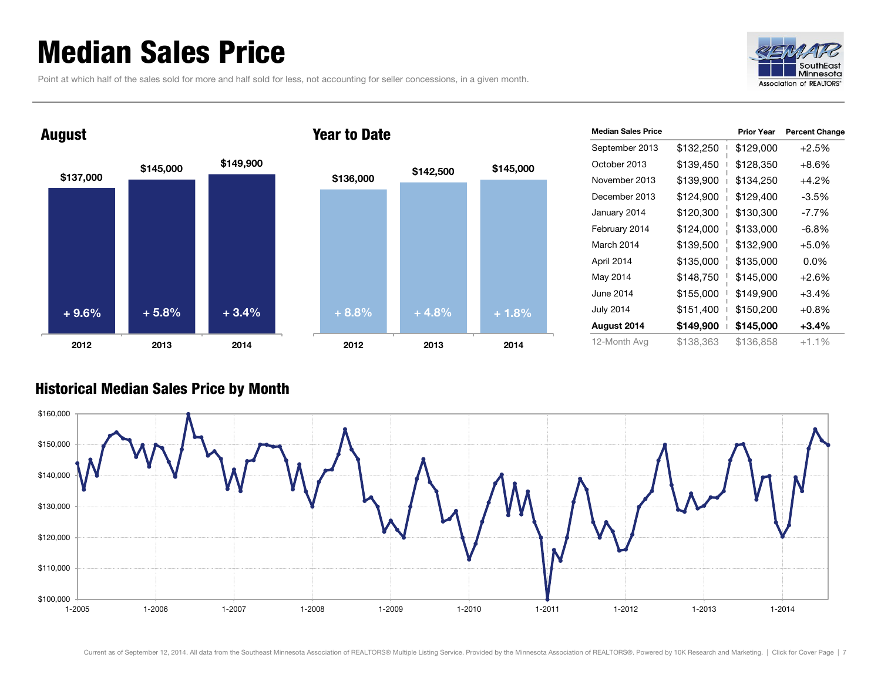### <span id="page-6-0"></span>Median Sales Price

Point at which half of the sales sold for more and half sold for less, not accounting for seller concessions, in a given month.





| <b>Median Sales Price</b> |           | <b>Prior Year</b> | <b>Percent Change</b> |
|---------------------------|-----------|-------------------|-----------------------|
| September 2013            | \$132,250 | \$129,000         | $+2.5%$               |
| October 2013              | \$139,450 | \$128,350         | $+8.6%$               |
| November 2013             | \$139,900 | \$134,250         | $+4.2%$               |
| December 2013             | \$124,900 | \$129,400         | $-3.5%$               |
| January 2014              | \$120,300 | \$130,300         | -7.7%                 |
| February 2014             | \$124,000 | \$133,000         | $-6.8%$               |
| March 2014                | \$139,500 | \$132,900         | $+5.0%$               |
| April 2014                | \$135,000 | \$135,000         | $0.0\%$               |
| May 2014                  | \$148,750 | \$145,000         | $+2.6%$               |
| June 2014                 | \$155,000 | \$149,900         | $+3.4%$               |
| <b>July 2014</b>          | \$151,400 | \$150,200         | $+0.8%$               |
| August 2014               | \$149,900 | \$145,000         | $+3.4%$               |
| 12-Month Avg              | \$138,363 | \$136,858         | $+1.1%$               |

#### Historical Median Sales Price by Month

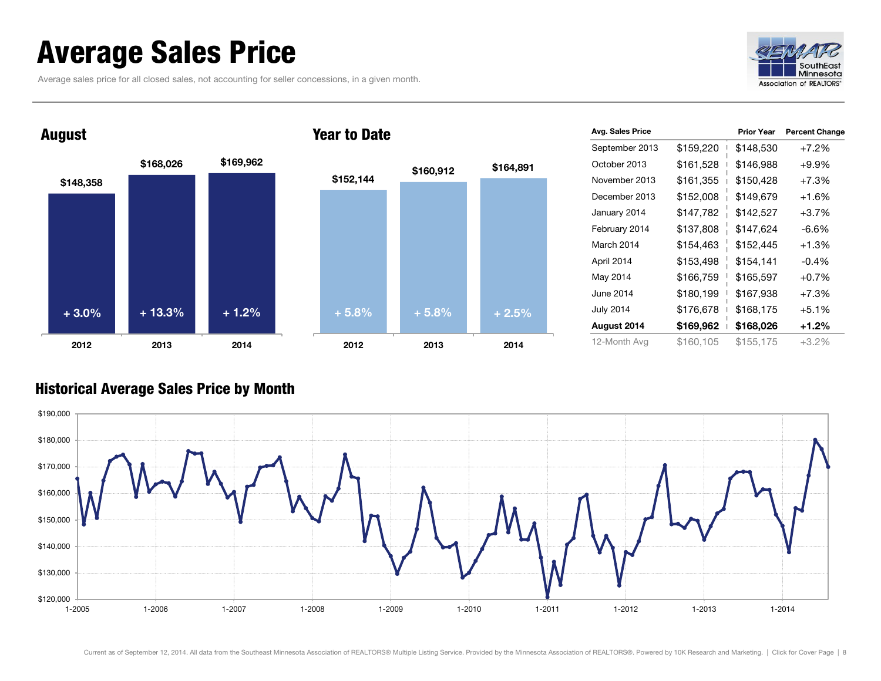### <span id="page-7-0"></span>Average Sales Price

Average sales price for all closed sales, not accounting for seller concessions, in a given month.





| Avg. Sales Price |           | <b>Prior Year</b> | <b>Percent Change</b> |
|------------------|-----------|-------------------|-----------------------|
| September 2013   | \$159,220 | \$148,530         | $+7.2%$               |
| October 2013     | \$161,528 | \$146,988         | $+9.9%$               |
| November 2013    | \$161,355 | \$150,428         | $+7.3%$               |
| December 2013    | \$152,008 | \$149,679         | $+1.6%$               |
| January 2014     | \$147,782 | \$142,527         | $+3.7%$               |
| February 2014    | \$137,808 | \$147,624         | -6.6%                 |
| March 2014       | \$154,463 | \$152,445         | $+1.3%$               |
| April 2014       | \$153,498 | \$154,141         | $-0.4%$               |
| May 2014         | \$166,759 | \$165,597         | $+0.7%$               |
| June 2014        | \$180,199 | \$167,938         | $+7.3%$               |
| <b>July 2014</b> | \$176,678 | \$168,175         | $+5.1%$               |
| August 2014      | \$169,962 | \$168,026         | $+1.2%$               |
| 12-Month Avg     | \$160,105 | \$155,175         | $+3.2%$               |

#### Historical Average Sales Price by Month

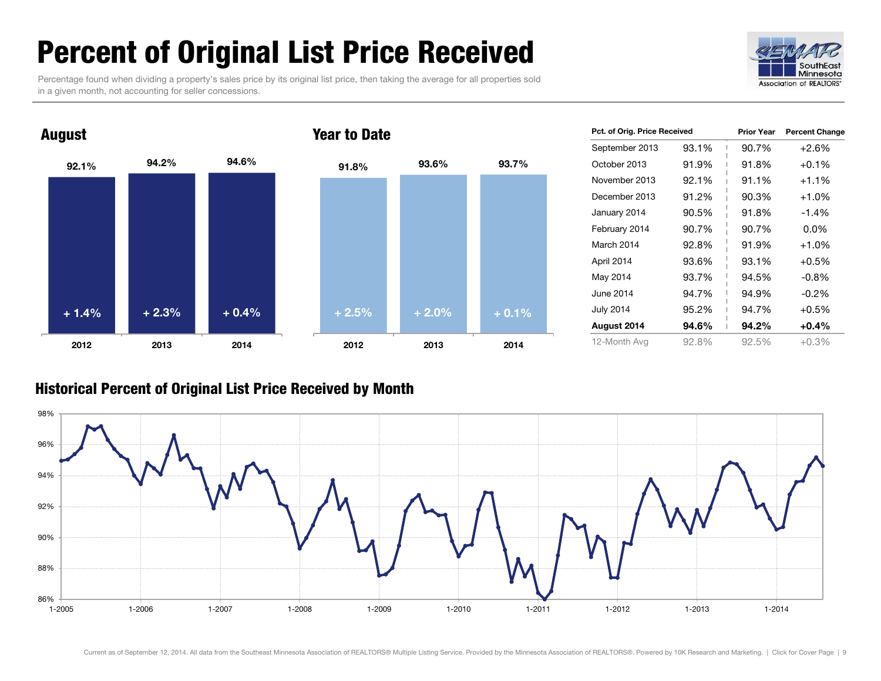### <span id="page-8-0"></span>Percent of Original List Price Received

Percentage found when dividing a property's sales price by its original list price, then taking the average for all properties sold in a given month, not accounting for seller concessions.





| Pct. of Orig. Price Received |       | <b>Prior Year</b> | <b>Percent Change</b> |
|------------------------------|-------|-------------------|-----------------------|
| September 2013               | 93.1% | 90.7%             | $+2.6%$               |
| October 2013                 | 91.9% | 91.8%             | $+0.1\%$              |
| November 2013                | 92.1% | 91.1%             | $+1.1\%$              |
| December 2013                | 91.2% | 90.3%             | $+1.0%$               |
| January 2014                 | 90.5% | 91.8%             | $-1.4%$               |
| February 2014                | 90.7% | 90.7%             | $0.0\%$               |
| March 2014                   | 92.8% | 91.9%             | $+1.0%$               |
| April 2014                   | 93.6% | 93.1%             | $+0.5%$               |
| May 2014                     | 93.7% | 94.5%             | $-0.8\%$              |
| June 2014                    | 94.7% | 94.9%             | $-0.2\%$              |
| <b>July 2014</b>             | 95.2% | 94.7%             | $+0.5%$               |
| August 2014                  | 94.6% | 94.2%             | $+0.4%$               |
| 12-Month Avg                 | 92.8% | 92.5%             | +0.3%                 |

#### Historical Percent of Original List Price Received by Month

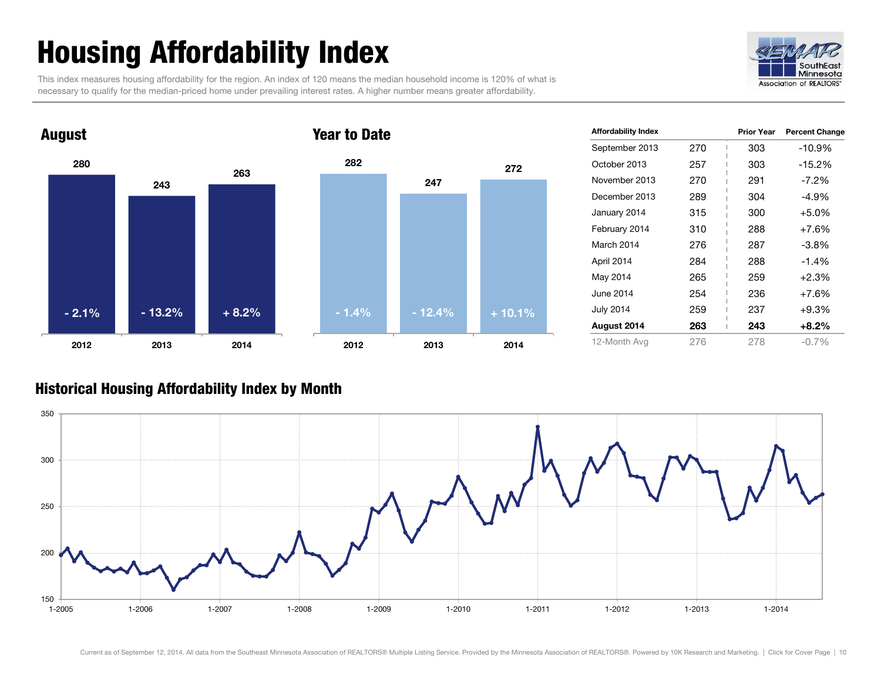## <span id="page-9-0"></span>Housing Affordability Index

This index measures housing affordability for the region. An index of 120 means the median household income is 120% of what is necessary to qualify for the median-priced home under prevailing interest rates. A higher number means greater affordability.





| <b>Affordability Index</b> |     | <b>Prior Year</b> | <b>Percent Change</b> |
|----------------------------|-----|-------------------|-----------------------|
| September 2013             | 270 | 303               | -10.9%                |
| October 2013               | 257 | 303               | $-15.2%$              |
| November 2013              | 270 | 291               | $-7.2\%$              |
| December 2013              | 289 | 304               | -4.9%                 |
| January 2014               | 315 | 300               | $+5.0%$               |
| February 2014              | 310 | 288               | $+7.6%$               |
| March 2014                 | 276 | 287               | -3.8%                 |
| April 2014                 | 284 | 288               | $-1.4%$               |
| May 2014                   | 265 | 259               | $+2.3%$               |
| June 2014                  | 254 | 236               | $+7.6%$               |
| <b>July 2014</b>           | 259 | 237               | +9.3%                 |
| August 2014                | 263 | 243               | +8.2%                 |
| 12-Month Avg               | 276 | 278               | $-0.7\%$              |

#### Historical Housing Affordability Index by Month

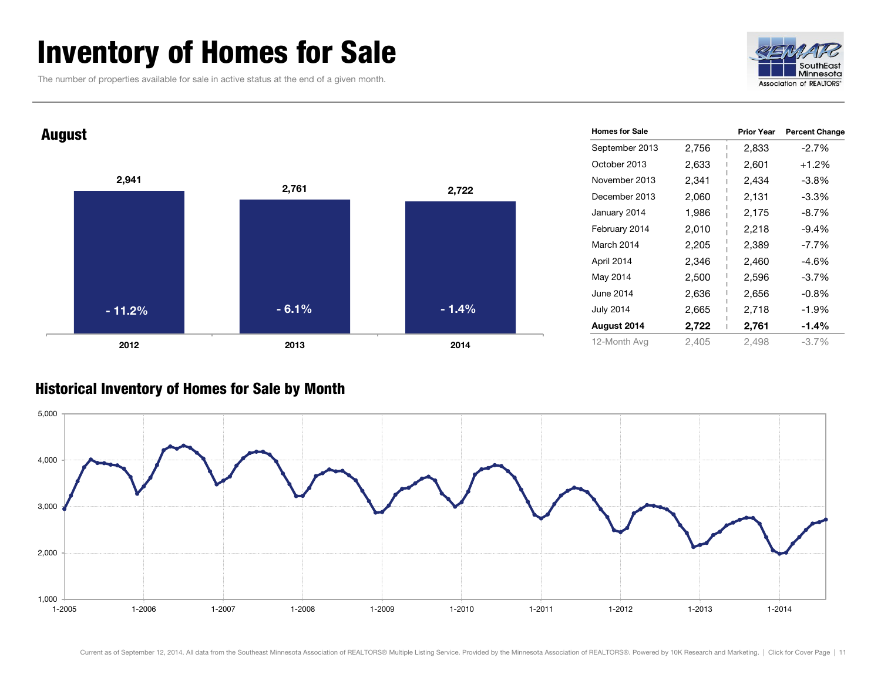### <span id="page-10-0"></span>Inventory of Homes for Sale

The number of properties available for sale in active status at the end of a given month.





#### Historical Inventory of Homes for Sale by Month

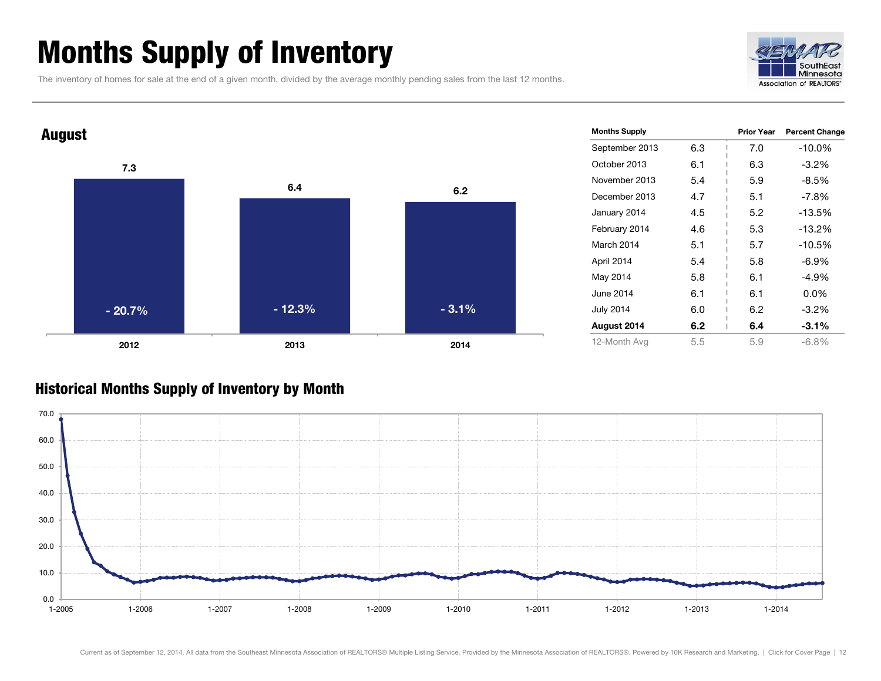### <span id="page-11-0"></span>Months Supply of Inventory

The inventory of homes for sale at the end of a given month, divided by the average monthly pending sales from the last 12 months.





#### Historical Months Supply of Inventory by Month